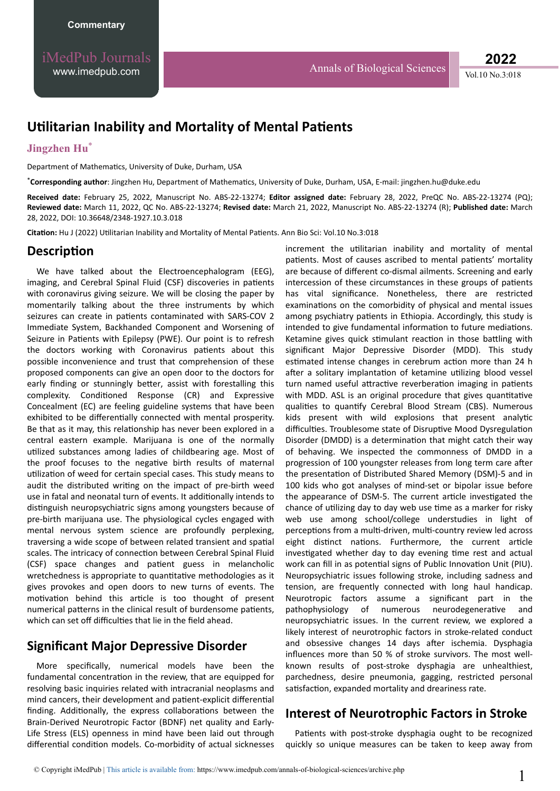# **Utilitarian Inability and Mortality of Mental Patients**

#### **Jingzhen Hu**\*

Department of Mathematics, University of Duke, Durham, USA

\*Corresponding author: Jingzhen Hu, Department of Mathematics, University of Duke, Durham, USA, E-mail: jingzhen.hu@duke.edu

**Received date:** February 25, 2022, Manuscript No. ABS-22-13274; **Editor assigned date:** February 28, 2022, PreQC No. ABS-22-13274 (PQ); **Reviewed date:** March 11, 2022, QC No. ABS-22-13274; **Revised date:** March 21, 2022, Manuscript No. ABS-22-13274 (R); **Published date:** March 28, 2022, DOI: 10.36648/2348-1927.10.3.018

Citation: Hu J (2022) Utilitarian Inability and Mortality of Mental Patients. Ann Bio Sci: Vol.10 No.3:018

### **Description**

We have talked about the Electroencephalogram (EEG), imaging, and Cerebral Spinal Fluid (CSF) discoveries in patients with coronavirus giving seizure. We will be closing the paper by momentarily talking about the three instruments by which seizures can create in patients contaminated with SARS-COV 2 Immediate System, Backhanded Component and Worsening of Seizure in Patients with Epilepsy (PWE). Our point is to refresh the doctors working with Coronavirus patients about this possible inconvenience and trust that comprehension of these proposed components can give an open door to the doctors for early finding or stunningly better, assist with forestalling this complexity. Conditioned Response (CR) and Expressive Concealment (EC) are feeling guideline systems that have been exhibited to be differentially connected with mental prosperity. Be that as it may, this relationship has never been explored in a central eastern example. Marijuana is one of the normally utilized substances among ladies of childbearing age. Most of the proof focuses to the negative birth results of maternal utilization of weed for certain special cases. This study means to audit the distributed writing on the impact of pre-birth weed use in fatal and neonatal turn of events. It additionally intends to distinguish neuropsychiatric signs among youngsters because of pre-birth marijuana use. The physiological cycles engaged with mental nervous system science are profoundly perplexing, traversing a wide scope of between related transient and spatial scales. The intricacy of connection between Cerebral Spinal Fluid (CSF) space changes and patient guess in melancholic wretchedness is appropriate to quantitative methodologies as it gives provokes and open doors to new turns of events. The motivation behind this article is too thought of present numerical patterns in the clinical result of burdensome patients, which can set off difficulties that lie in the field ahead.

### **Significant Major Depressive Disorder**

More specifically, numerical models have been the fundamental concentration in the review, that are equipped for resolving basic inquiries related with intracranial neoplasms and mind cancers, their development and patient-explicit differential finding. Additionally, the express collaborations between the Brain-Derived Neurotropic Factor (BDNF) net quality and Early-Life Stress (ELS) openness in mind have been laid out through differential condition models. Co-morbidity of actual sicknesses

increment the utilitarian inability and mortality of mental patients. Most of causes ascribed to mental patients' mortality are because of different co-dismal ailments. Screening and early intercession of these circumstances in these groups of patients has vital significance. Nonetheless, there are restricted examinations on the comorbidity of physical and mental issues among psychiatry patients in Ethiopia. Accordingly, this study is intended to give fundamental information to future mediations. Ketamine gives quick stimulant reaction in those battling with significant Major Depressive Disorder (MDD). This study estimated intense changes in cerebrum action more than 24 h after a solitary implantation of ketamine utilizing blood vessel turn named useful attractive reverberation imaging in patients with MDD. ASL is an original procedure that gives quantitative qualities to quantify Cerebral Blood Stream (CBS). Numerous kids present with wild explosions that present analytic difficulties. Troublesome state of Disruptive Mood Dysregulation Disorder (DMDD) is a determination that might catch their way of behaving. We inspected the commonness of DMDD in a progression of 100 youngster releases from long term care after the presentation of Distributed Shared Memory (DSM)-5 and in 100 kids who got analyses of mind-set or bipolar issue before the appearance of DSM-5. The current article investigated the chance of utilizing day to day web use time as a marker for risky web use among school/college understudies in light of perceptions from a multi-driven, multi-country review led across eight distinct nations. Furthermore, the current article investigated whether day to day evening time rest and actual work can fill in as potential signs of Public Innovation Unit (PIU). Neuropsychiatric issues following stroke, including sadness and tension, are frequently connected with long haul handicap. Neurotropic factors assume a significant part in the pathophysiology of numerous neurodegenerative and neuropsychiatric issues. In the current review, we explored a likely interest of neurotrophic factors in stroke-related conduct and obsessive changes 14 days after ischemia. Dysphagia influences more than 50 % of stroke survivors. The most wellknown results of post-stroke dysphagia are unhealthiest, parchedness, desire pneumonia, gagging, restricted personal satisfaction, expanded mortality and dreariness rate.

## **Interest of Neurotrophic Factors in Stroke**

Patients with post-stroke dysphagia ought to be recognized quickly so unique measures can be taken to keep away from